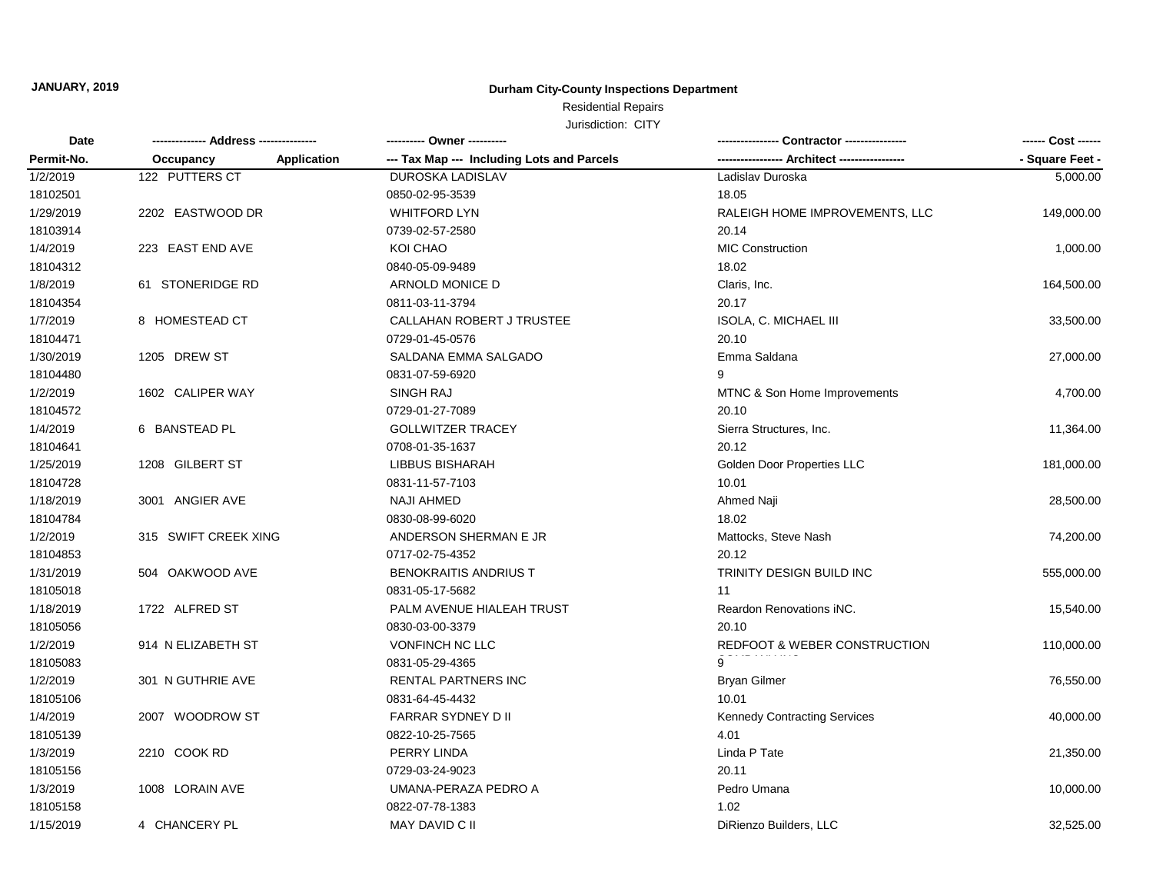### **Durham City-County Inspections Department**

## Residential Repairs

| <b>Date</b><br>Permit-No. |                      |             | --------- Owner ---------                  |                                         | ------ Cost ------ |
|---------------------------|----------------------|-------------|--------------------------------------------|-----------------------------------------|--------------------|
|                           | Occupancy            | Application | --- Tax Map --- Including Lots and Parcels | --- Architect ----------------          | - Square Feet -    |
| 1/2/2019                  | 122 PUTTERS CT       |             | <b>DUROSKA LADISLAV</b>                    | Ladislav Duroska                        | 5,000.00           |
| 18102501                  |                      |             | 0850-02-95-3539                            | 18.05                                   |                    |
| 1/29/2019                 | 2202 EASTWOOD DR     |             | <b>WHITFORD LYN</b>                        | RALEIGH HOME IMPROVEMENTS, LLC          | 149,000.00         |
| 18103914                  |                      |             | 0739-02-57-2580                            | 20.14                                   |                    |
| 1/4/2019                  | 223 EAST END AVE     |             | KOI CHAO                                   | <b>MIC Construction</b>                 | 1,000.00           |
| 18104312                  |                      |             | 0840-05-09-9489                            | 18.02                                   |                    |
| 1/8/2019                  | 61 STONERIDGE RD     |             | ARNOLD MONICE D                            | Claris, Inc.                            | 164,500.00         |
| 18104354                  |                      |             | 0811-03-11-3794                            | 20.17                                   |                    |
| 1/7/2019                  | 8 HOMESTEAD CT       |             | CALLAHAN ROBERT J TRUSTEE                  | <b>ISOLA, C. MICHAEL III</b>            | 33,500.00          |
| 18104471                  |                      |             | 0729-01-45-0576                            | 20.10                                   |                    |
| 1/30/2019                 | 1205 DREW ST         |             | SALDANA EMMA SALGADO                       | Emma Saldana                            | 27,000.00          |
| 18104480                  |                      |             | 0831-07-59-6920                            | 9                                       |                    |
| 1/2/2019                  | 1602 CALIPER WAY     |             | <b>SINGH RAJ</b>                           | MTNC & Son Home Improvements            | 4,700.00           |
| 18104572                  |                      |             | 0729-01-27-7089                            | 20.10                                   |                    |
| 1/4/2019                  | 6 BANSTEAD PL        |             | <b>GOLLWITZER TRACEY</b>                   | Sierra Structures, Inc.                 | 11,364.00          |
| 18104641                  |                      |             | 0708-01-35-1637                            | 20.12                                   |                    |
| 1/25/2019                 | 1208 GILBERT ST      |             | LIBBUS BISHARAH                            | Golden Door Properties LLC              | 181,000.00         |
| 18104728                  |                      |             | 0831-11-57-7103                            | 10.01                                   |                    |
| 1/18/2019                 | 3001 ANGIER AVE      |             | <b>NAJI AHMED</b>                          | Ahmed Naji                              | 28,500.00          |
| 18104784                  |                      |             | 0830-08-99-6020                            | 18.02                                   |                    |
| 1/2/2019                  | 315 SWIFT CREEK XING |             | ANDERSON SHERMAN E JR                      | Mattocks, Steve Nash                    | 74,200.00          |
| 18104853                  |                      |             | 0717-02-75-4352                            | 20.12                                   |                    |
| 1/31/2019                 | 504 OAKWOOD AVE      |             | BENOKRAITIS ANDRIUS T                      | TRINITY DESIGN BUILD INC                | 555,000.00         |
| 18105018                  |                      |             | 0831-05-17-5682                            | 11                                      |                    |
| 1/18/2019                 | 1722 ALFRED ST       |             | PALM AVENUE HIALEAH TRUST                  | Reardon Renovations iNC.                | 15,540.00          |
| 18105056                  |                      |             | 0830-03-00-3379                            | 20.10                                   |                    |
| 1/2/2019                  | 914 N ELIZABETH ST   |             | VONFINCH NC LLC                            | <b>REDFOOT &amp; WEBER CONSTRUCTION</b> | 110,000.00         |
| 18105083                  |                      |             | 0831-05-29-4365                            | 9                                       |                    |
| 1/2/2019                  | 301 N GUTHRIE AVE    |             | RENTAL PARTNERS INC                        | <b>Bryan Gilmer</b>                     | 76,550.00          |
| 18105106                  |                      |             | 0831-64-45-4432                            | 10.01                                   |                    |
| 1/4/2019                  | 2007 WOODROW ST      |             | <b>FARRAR SYDNEY D II</b>                  | <b>Kennedy Contracting Services</b>     | 40,000.00          |
| 18105139                  |                      |             | 0822-10-25-7565                            | 4.01                                    |                    |
| 1/3/2019                  | 2210 COOK RD         |             | PERRY LINDA                                | Linda P Tate                            | 21,350.00          |
| 18105156                  |                      |             | 0729-03-24-9023                            | 20.11                                   |                    |
| 1/3/2019                  | 1008 LORAIN AVE      |             | UMANA-PERAZA PEDRO A                       | Pedro Umana                             | 10,000.00          |
| 18105158                  |                      |             | 0822-07-78-1383                            | 1.02                                    |                    |
| 1/15/2019                 | 4 CHANCERY PL        |             | MAY DAVID C II                             | DiRienzo Builders, LLC                  | 32,525.00          |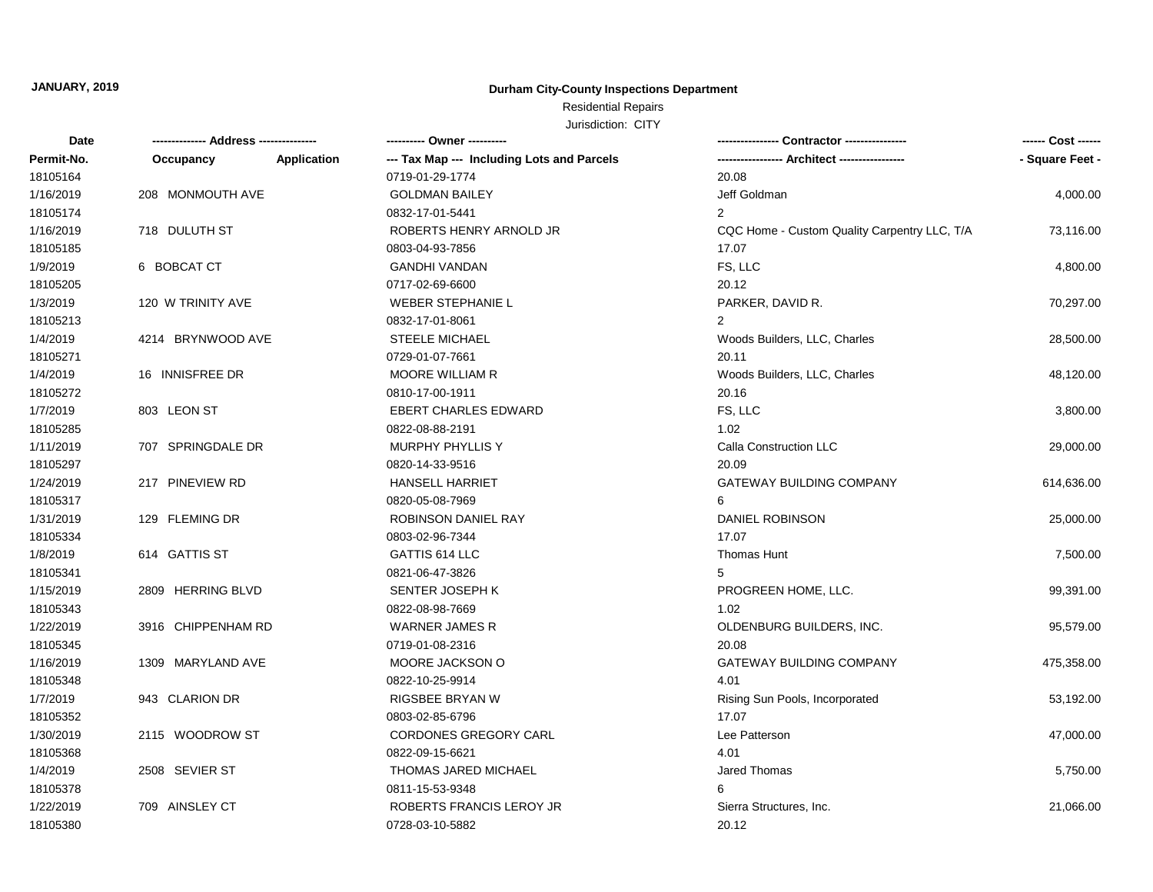### **Durham City-County Inspections Department**

## Residential Repairs

| <b>Date</b> | ------------- Address -------------- |                    | ---------- Owner ----------                |                                              | ------ Cost ------ |
|-------------|--------------------------------------|--------------------|--------------------------------------------|----------------------------------------------|--------------------|
| Permit-No.  | Occupancy                            | <b>Application</b> | --- Tax Map --- Including Lots and Parcels |                                              | - Square Feet -    |
| 18105164    |                                      |                    | 0719-01-29-1774                            | 20.08                                        |                    |
| 1/16/2019   | 208 MONMOUTH AVE                     |                    | <b>GOLDMAN BAILEY</b>                      | Jeff Goldman                                 | 4,000.00           |
| 18105174    |                                      |                    | 0832-17-01-5441                            | $\overline{2}$                               |                    |
| 1/16/2019   | 718 DULUTH ST                        |                    | ROBERTS HENRY ARNOLD JR                    | CQC Home - Custom Quality Carpentry LLC, T/A | 73,116.00          |
| 18105185    |                                      |                    | 0803-04-93-7856                            | 17.07                                        |                    |
| 1/9/2019    | 6 BOBCAT CT                          |                    | <b>GANDHI VANDAN</b>                       | FS, LLC                                      | 4,800.00           |
| 18105205    |                                      |                    | 0717-02-69-6600                            | 20.12                                        |                    |
| 1/3/2019    | 120 W TRINITY AVE                    |                    | <b>WEBER STEPHANIE L</b>                   | PARKER, DAVID R.                             | 70,297.00          |
| 18105213    |                                      |                    | 0832-17-01-8061                            | $\overline{2}$                               |                    |
| 1/4/2019    | 4214 BRYNWOOD AVE                    |                    | <b>STEELE MICHAEL</b>                      | Woods Builders, LLC, Charles                 | 28,500.00          |
| 18105271    |                                      |                    | 0729-01-07-7661                            | 20.11                                        |                    |
| 1/4/2019    | 16 INNISFREE DR                      |                    | <b>MOORE WILLIAM R</b>                     | Woods Builders, LLC, Charles                 | 48,120.00          |
| 18105272    |                                      |                    | 0810-17-00-1911                            | 20.16                                        |                    |
| 1/7/2019    | 803 LEON ST                          |                    | <b>EBERT CHARLES EDWARD</b>                | FS, LLC                                      | 3,800.00           |
| 18105285    |                                      |                    | 0822-08-88-2191                            | 1.02                                         |                    |
| 1/11/2019   | 707 SPRINGDALE DR                    |                    | MURPHY PHYLLIS Y                           | Calla Construction LLC                       | 29,000.00          |
| 18105297    |                                      |                    | 0820-14-33-9516                            | 20.09                                        |                    |
| 1/24/2019   | 217 PINEVIEW RD                      |                    | <b>HANSELL HARRIET</b>                     | <b>GATEWAY BUILDING COMPANY</b>              | 614,636.00         |
| 18105317    |                                      |                    | 0820-05-08-7969                            | 6                                            |                    |
| 1/31/2019   | 129 FLEMING DR                       |                    | <b>ROBINSON DANIEL RAY</b>                 | DANIEL ROBINSON                              | 25,000.00          |
| 18105334    |                                      |                    | 0803-02-96-7344                            | 17.07                                        |                    |
| 1/8/2019    | 614 GATTIS ST                        |                    | GATTIS 614 LLC                             | <b>Thomas Hunt</b>                           | 7,500.00           |
| 18105341    |                                      |                    | 0821-06-47-3826                            | 5                                            |                    |
| 1/15/2019   | 2809 HERRING BLVD                    |                    | SENTER JOSEPH K                            | PROGREEN HOME, LLC.                          | 99,391.00          |
| 18105343    |                                      |                    | 0822-08-98-7669                            | 1.02                                         |                    |
| 1/22/2019   | 3916 CHIPPENHAM RD                   |                    | <b>WARNER JAMES R</b>                      | OLDENBURG BUILDERS, INC.                     | 95,579.00          |
| 18105345    |                                      |                    | 0719-01-08-2316                            | 20.08                                        |                    |
| 1/16/2019   | 1309 MARYLAND AVE                    |                    | MOORE JACKSON O                            | <b>GATEWAY BUILDING COMPANY</b>              | 475,358.00         |
| 18105348    |                                      |                    | 0822-10-25-9914                            | 4.01                                         |                    |
| 1/7/2019    | 943 CLARION DR                       |                    | <b>RIGSBEE BRYAN W</b>                     | Rising Sun Pools, Incorporated               | 53,192.00          |
| 18105352    |                                      |                    | 0803-02-85-6796                            | 17.07                                        |                    |
| 1/30/2019   | 2115 WOODROW ST                      |                    | CORDONES GREGORY CARL                      | Lee Patterson                                | 47,000.00          |
| 18105368    |                                      |                    | 0822-09-15-6621                            | 4.01                                         |                    |
| 1/4/2019    | 2508 SEVIER ST                       |                    | THOMAS JARED MICHAEL                       | Jared Thomas                                 | 5,750.00           |
| 18105378    |                                      |                    | 0811-15-53-9348                            | 6                                            |                    |
| 1/22/2019   | 709 AINSLEY CT                       |                    | ROBERTS FRANCIS LEROY JR                   | Sierra Structures, Inc.                      | 21,066.00          |
| 18105380    |                                      |                    | 0728-03-10-5882                            | 20.12                                        |                    |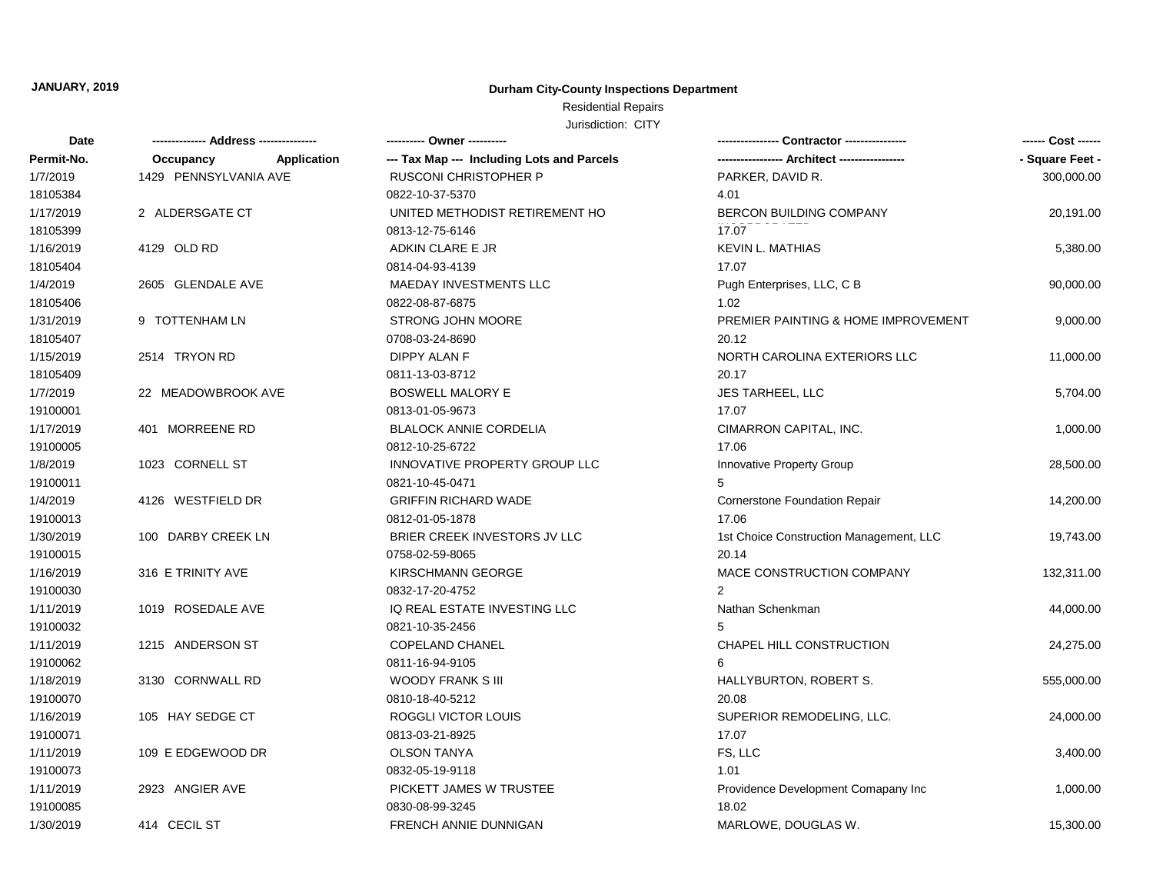### **Durham City-County Inspections Department**

### Residential Repairs

| Date       |                          | ---------- Owner ----------                |                                         | ------ Cost ------ |
|------------|--------------------------|--------------------------------------------|-----------------------------------------|--------------------|
| Permit-No. | Application<br>Occupancy | --- Tax Map --- Including Lots and Parcels |                                         | - Square Feet -    |
| 1/7/2019   | 1429 PENNSYLVANIA AVE    | <b>RUSCONI CHRISTOPHER P</b>               | PARKER, DAVID R.                        | 300,000.00         |
| 18105384   |                          | 0822-10-37-5370                            | 4.01                                    |                    |
| 1/17/2019  | 2 ALDERSGATE CT          | UNITED METHODIST RETIREMENT HO             | BERCON BUILDING COMPANY                 | 20,191.00          |
| 18105399   |                          | 0813-12-75-6146                            | 17.07                                   |                    |
| 1/16/2019  | 4129 OLD RD              | ADKIN CLARE E JR                           | <b>KEVIN L. MATHIAS</b>                 | 5,380.00           |
| 18105404   |                          | 0814-04-93-4139                            | 17.07                                   |                    |
| 1/4/2019   | 2605 GLENDALE AVE        | MAEDAY INVESTMENTS LLC                     | Pugh Enterprises, LLC, C B              | 90,000.00          |
| 18105406   |                          | 0822-08-87-6875                            | 1.02                                    |                    |
| 1/31/2019  | 9 TOTTENHAM LN           | STRONG JOHN MOORE                          | PREMIER PAINTING & HOME IMPROVEMENT     | 9,000.00           |
| 18105407   |                          | 0708-03-24-8690                            | 20.12                                   |                    |
| 1/15/2019  | 2514 TRYON RD            | <b>DIPPY ALAN F</b>                        | NORTH CAROLINA EXTERIORS LLC            | 11,000.00          |
| 18105409   |                          | 0811-13-03-8712                            | 20.17                                   |                    |
| 1/7/2019   | 22 MEADOWBROOK AVE       | <b>BOSWELL MALORY E</b>                    | JES TARHEEL, LLC                        | 5,704.00           |
| 19100001   |                          | 0813-01-05-9673                            | 17.07                                   |                    |
| 1/17/2019  | 401 MORREENE RD          | <b>BLALOCK ANNIE CORDELIA</b>              | CIMARRON CAPITAL, INC.                  | 1,000.00           |
| 19100005   |                          | 0812-10-25-6722                            | 17.06                                   |                    |
| 1/8/2019   | 1023 CORNELL ST          | INNOVATIVE PROPERTY GROUP LLC              | Innovative Property Group               | 28,500.00          |
| 19100011   |                          | 0821-10-45-0471                            | 5                                       |                    |
| 1/4/2019   | 4126 WESTFIELD DR        | <b>GRIFFIN RICHARD WADE</b>                | Cornerstone Foundation Repair           | 14,200.00          |
| 19100013   |                          | 0812-01-05-1878                            | 17.06                                   |                    |
| 1/30/2019  | 100 DARBY CREEK LN       | BRIER CREEK INVESTORS JV LLC               | 1st Choice Construction Management, LLC | 19,743.00          |
| 19100015   |                          | 0758-02-59-8065                            | 20.14                                   |                    |
| 1/16/2019  | 316 E TRINITY AVE        | <b>KIRSCHMANN GEORGE</b>                   | MACE CONSTRUCTION COMPANY               | 132,311.00         |
| 19100030   |                          | 0832-17-20-4752                            | $\overline{2}$                          |                    |
| 1/11/2019  | 1019 ROSEDALE AVE        | IQ REAL ESTATE INVESTING LLC               | Nathan Schenkman                        | 44,000.00          |
| 19100032   |                          | 0821-10-35-2456                            | 5                                       |                    |
| 1/11/2019  | 1215 ANDERSON ST         | <b>COPELAND CHANEL</b>                     | CHAPEL HILL CONSTRUCTION                | 24,275.00          |
| 19100062   |                          | 0811-16-94-9105                            | 6                                       |                    |
| 1/18/2019  | 3130 CORNWALL RD         | <b>WOODY FRANK S III</b>                   | HALLYBURTON, ROBERT S.                  | 555,000.00         |
| 19100070   |                          | 0810-18-40-5212                            | 20.08                                   |                    |
| 1/16/2019  | 105 HAY SEDGE CT         | ROGGLI VICTOR LOUIS                        | SUPERIOR REMODELING, LLC.               | 24,000.00          |
| 19100071   |                          | 0813-03-21-8925                            | 17.07                                   |                    |
| 1/11/2019  | 109 E EDGEWOOD DR        | <b>OLSON TANYA</b>                         | FS, LLC                                 | 3,400.00           |
| 19100073   |                          | 0832-05-19-9118                            | 1.01                                    |                    |
| 1/11/2019  | 2923 ANGIER AVE          | PICKETT JAMES W TRUSTEE                    | Providence Development Comapany Inc     | 1,000.00           |
| 19100085   |                          | 0830-08-99-3245                            | 18.02                                   |                    |
| 1/30/2019  | 414 CECIL ST             | FRENCH ANNIE DUNNIGAN                      | MARLOWE, DOUGLAS W.                     | 15,300.00          |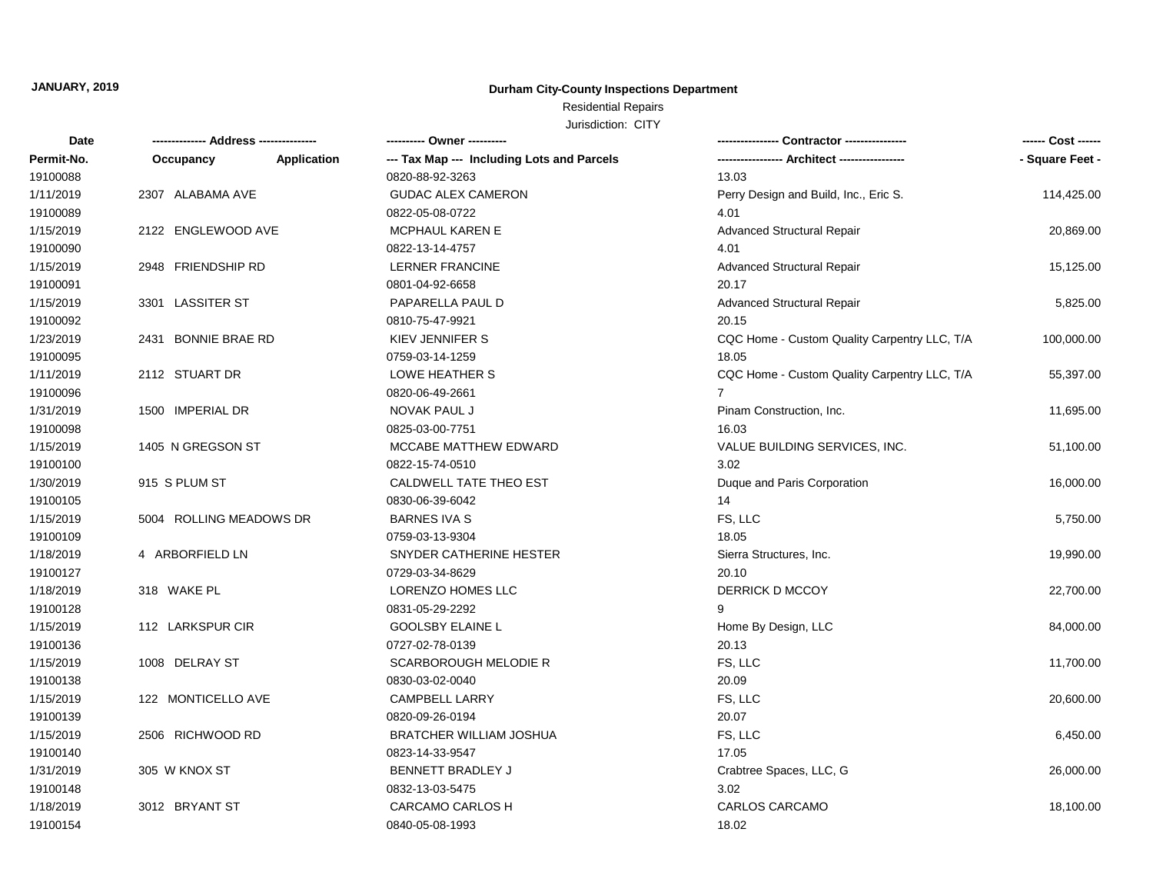### **Durham City-County Inspections Department**

## Residential Repairs

| Date       |                         |                    | ---------- Owner ----------                |                                              | ------ Cost ------ |
|------------|-------------------------|--------------------|--------------------------------------------|----------------------------------------------|--------------------|
| Permit-No. | Occupancy               | <b>Application</b> | --- Tax Map --- Including Lots and Parcels |                                              | - Square Feet -    |
| 19100088   |                         |                    | 0820-88-92-3263                            | 13.03                                        |                    |
| 1/11/2019  | 2307 ALABAMA AVE        |                    | <b>GUDAC ALEX CAMERON</b>                  | Perry Design and Build, Inc., Eric S.        | 114,425.00         |
| 19100089   |                         |                    | 0822-05-08-0722                            | 4.01                                         |                    |
| 1/15/2019  | 2122 ENGLEWOOD AVE      |                    | <b>MCPHAUL KAREN E</b>                     | <b>Advanced Structural Repair</b>            | 20,869.00          |
| 19100090   |                         |                    | 0822-13-14-4757                            | 4.01                                         |                    |
| 1/15/2019  | 2948 FRIENDSHIP RD      |                    | <b>LERNER FRANCINE</b>                     | <b>Advanced Structural Repair</b>            | 15,125.00          |
| 19100091   |                         |                    | 0801-04-92-6658                            | 20.17                                        |                    |
| 1/15/2019  | 3301 LASSITER ST        |                    | PAPARELLA PAUL D                           | <b>Advanced Structural Repair</b>            | 5,825.00           |
| 19100092   |                         |                    | 0810-75-47-9921                            | 20.15                                        |                    |
| 1/23/2019  | 2431 BONNIE BRAE RD     |                    | KIEV JENNIFER S                            | CQC Home - Custom Quality Carpentry LLC, T/A | 100,000.00         |
| 19100095   |                         |                    | 0759-03-14-1259                            | 18.05                                        |                    |
| 1/11/2019  | 2112 STUART DR          |                    | LOWE HEATHER S                             | CQC Home - Custom Quality Carpentry LLC, T/A | 55,397.00          |
| 19100096   |                         |                    | 0820-06-49-2661                            | $\overline{7}$                               |                    |
| 1/31/2019  | 1500 IMPERIAL DR        |                    | NOVAK PAUL J                               | Pinam Construction, Inc.                     | 11,695.00          |
| 19100098   |                         |                    | 0825-03-00-7751                            | 16.03                                        |                    |
| 1/15/2019  | 1405 N GREGSON ST       |                    | MCCABE MATTHEW EDWARD                      | VALUE BUILDING SERVICES, INC.                | 51,100.00          |
| 19100100   |                         |                    | 0822-15-74-0510                            | 3.02                                         |                    |
| 1/30/2019  | 915 S PLUM ST           |                    | CALDWELL TATE THEO EST                     | Duque and Paris Corporation                  | 16,000.00          |
| 19100105   |                         |                    | 0830-06-39-6042                            | 14                                           |                    |
| 1/15/2019  | 5004 ROLLING MEADOWS DR |                    | <b>BARNES IVA S</b>                        | FS, LLC                                      | 5,750.00           |
| 19100109   |                         |                    | 0759-03-13-9304                            | 18.05                                        |                    |
| 1/18/2019  | 4 ARBORFIELD LN         |                    | SNYDER CATHERINE HESTER                    | Sierra Structures, Inc.                      | 19,990.00          |
| 19100127   |                         |                    | 0729-03-34-8629                            | 20.10                                        |                    |
| 1/18/2019  | 318 WAKE PL             |                    | LORENZO HOMES LLC                          | DERRICK D MCCOY                              | 22,700.00          |
| 19100128   |                         |                    | 0831-05-29-2292                            | 9                                            |                    |
| 1/15/2019  | 112 LARKSPUR CIR        |                    | <b>GOOLSBY ELAINE L</b>                    | Home By Design, LLC                          | 84,000.00          |
| 19100136   |                         |                    | 0727-02-78-0139                            | 20.13                                        |                    |
| 1/15/2019  | 1008 DELRAY ST          |                    | SCARBOROUGH MELODIE R                      | FS, LLC                                      | 11,700.00          |
| 19100138   |                         |                    | 0830-03-02-0040                            | 20.09                                        |                    |
| 1/15/2019  | 122 MONTICELLO AVE      |                    | <b>CAMPBELL LARRY</b>                      | FS, LLC                                      | 20,600.00          |
| 19100139   |                         |                    | 0820-09-26-0194                            | 20.07                                        |                    |
| 1/15/2019  | 2506 RICHWOOD RD        |                    | <b>BRATCHER WILLIAM JOSHUA</b>             | FS, LLC                                      | 6,450.00           |
| 19100140   |                         |                    | 0823-14-33-9547                            | 17.05                                        |                    |
| 1/31/2019  | 305 W KNOX ST           |                    | <b>BENNETT BRADLEY J</b>                   | Crabtree Spaces, LLC, G                      | 26,000.00          |
| 19100148   |                         |                    | 0832-13-03-5475                            | 3.02                                         |                    |
| 1/18/2019  | 3012 BRYANT ST          |                    | <b>CARCAMO CARLOS H</b>                    | <b>CARLOS CARCAMO</b>                        | 18,100.00          |
| 19100154   |                         |                    | 0840-05-08-1993                            | 18.02                                        |                    |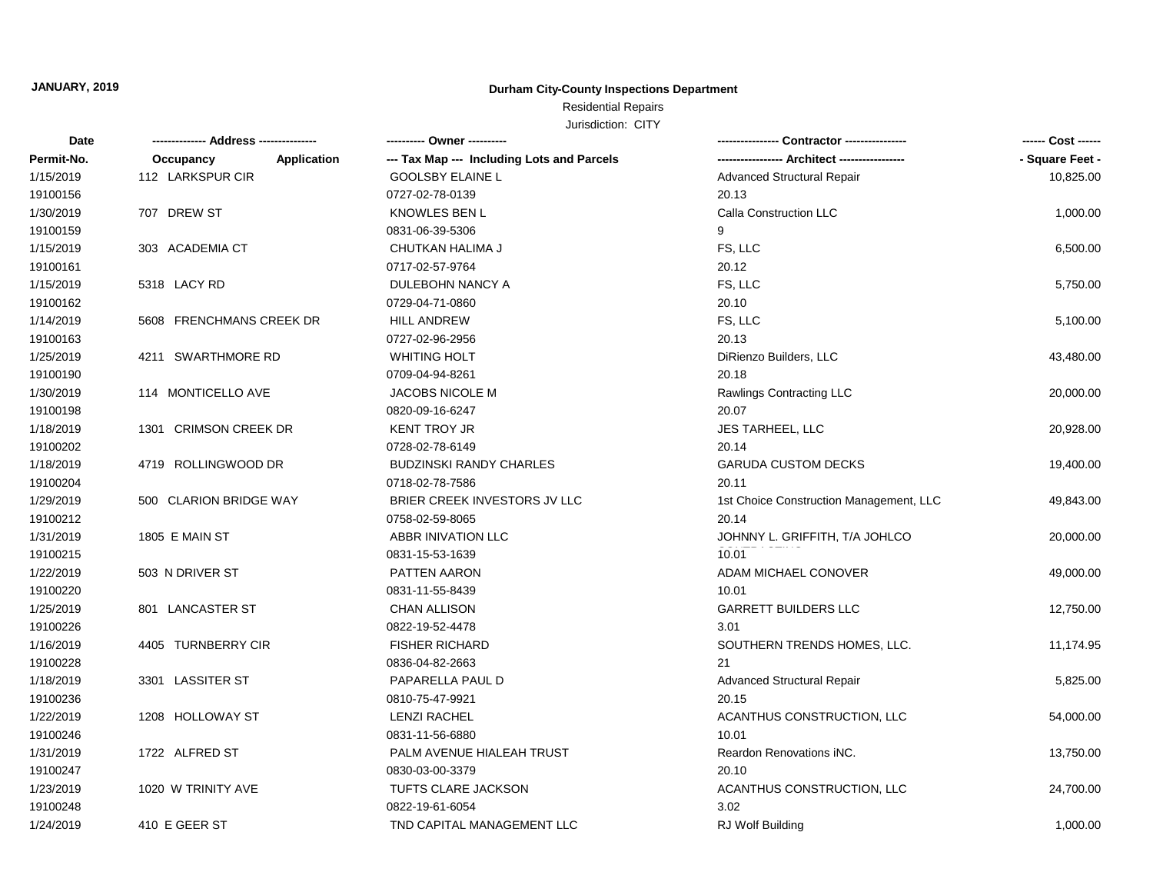### **Durham City-County Inspections Department**

## Residential Repairs

| <b>Date</b> | ------------- Address -------------- | ---------- Owner ----------                |                                         | ------ Cost ------ |
|-------------|--------------------------------------|--------------------------------------------|-----------------------------------------|--------------------|
| Permit-No.  | Application<br>Occupancy             | --- Tax Map --- Including Lots and Parcels |                                         | - Square Feet -    |
| 1/15/2019   | 112 LARKSPUR CIR                     | <b>GOOLSBY ELAINE L</b>                    | Advanced Structural Repair              | 10,825.00          |
| 19100156    |                                      | 0727-02-78-0139                            | 20.13                                   |                    |
| 1/30/2019   | 707 DREW ST                          | <b>KNOWLES BEN L</b>                       | Calla Construction LLC                  | 1,000.00           |
| 19100159    |                                      | 0831-06-39-5306                            | 9                                       |                    |
| 1/15/2019   | 303 ACADEMIA CT                      | CHUTKAN HALIMA J                           | FS, LLC                                 | 6,500.00           |
| 19100161    |                                      | 0717-02-57-9764                            | 20.12                                   |                    |
| 1/15/2019   | 5318 LACY RD                         | DULEBOHN NANCY A                           | FS, LLC                                 | 5,750.00           |
| 19100162    |                                      | 0729-04-71-0860                            | 20.10                                   |                    |
| 1/14/2019   | 5608 FRENCHMANS CREEK DR             | <b>HILL ANDREW</b>                         | FS, LLC                                 | 5,100.00           |
| 19100163    |                                      | 0727-02-96-2956                            | 20.13                                   |                    |
| 1/25/2019   | 4211 SWARTHMORE RD                   | <b>WHITING HOLT</b>                        | DiRienzo Builders, LLC                  | 43,480.00          |
| 19100190    |                                      | 0709-04-94-8261                            | 20.18                                   |                    |
| 1/30/2019   | 114 MONTICELLO AVE                   | <b>JACOBS NICOLE M</b>                     | Rawlings Contracting LLC                | 20,000.00          |
| 19100198    |                                      | 0820-09-16-6247                            | 20.07                                   |                    |
| 1/18/2019   | 1301 CRIMSON CREEK DR                | <b>KENT TROY JR</b>                        | JES TARHEEL, LLC                        | 20,928.00          |
| 19100202    |                                      | 0728-02-78-6149                            | 20.14                                   |                    |
| 1/18/2019   | 4719 ROLLINGWOOD DR                  | <b>BUDZINSKI RANDY CHARLES</b>             | <b>GARUDA CUSTOM DECKS</b>              | 19,400.00          |
| 19100204    |                                      | 0718-02-78-7586                            | 20.11                                   |                    |
| 1/29/2019   | 500 CLARION BRIDGE WAY               | BRIER CREEK INVESTORS JV LLC               | 1st Choice Construction Management, LLC | 49,843.00          |
| 19100212    |                                      | 0758-02-59-8065                            | 20.14                                   |                    |
| 1/31/2019   | 1805 E MAIN ST                       | ABBR INIVATION LLC                         | JOHNNY L. GRIFFITH, T/A JOHLCO          | 20,000.00          |
| 19100215    |                                      | 0831-15-53-1639                            | 10.01                                   |                    |
| 1/22/2019   | 503 N DRIVER ST                      | PATTEN AARON                               | ADAM MICHAEL CONOVER                    | 49,000.00          |
| 19100220    |                                      | 0831-11-55-8439                            | 10.01                                   |                    |
| 1/25/2019   | 801 LANCASTER ST                     | <b>CHAN ALLISON</b>                        | <b>GARRETT BUILDERS LLC</b>             | 12,750.00          |
| 19100226    |                                      | 0822-19-52-4478                            | 3.01                                    |                    |
| 1/16/2019   | 4405 TURNBERRY CIR                   | <b>FISHER RICHARD</b>                      | SOUTHERN TRENDS HOMES, LLC.             | 11,174.95          |
| 19100228    |                                      | 0836-04-82-2663                            | 21                                      |                    |
| 1/18/2019   | 3301 LASSITER ST                     | PAPARELLA PAUL D                           | <b>Advanced Structural Repair</b>       | 5,825.00           |
| 19100236    |                                      | 0810-75-47-9921                            | 20.15                                   |                    |
| 1/22/2019   | 1208 HOLLOWAY ST                     | <b>LENZI RACHEL</b>                        | ACANTHUS CONSTRUCTION, LLC              | 54,000.00          |
| 19100246    |                                      | 0831-11-56-6880                            | 10.01                                   |                    |
| 1/31/2019   | 1722 ALFRED ST                       | PALM AVENUE HIALEAH TRUST                  | Reardon Renovations iNC.                | 13,750.00          |
| 19100247    |                                      | 0830-03-00-3379                            | 20.10                                   |                    |
| 1/23/2019   | 1020 W TRINITY AVE                   | TUFTS CLARE JACKSON                        | ACANTHUS CONSTRUCTION, LLC              | 24,700.00          |
| 19100248    |                                      | 0822-19-61-6054                            | 3.02                                    |                    |
| 1/24/2019   | 410 E GEER ST                        | TND CAPITAL MANAGEMENT LLC                 | <b>RJ Wolf Building</b>                 | 1,000.00           |